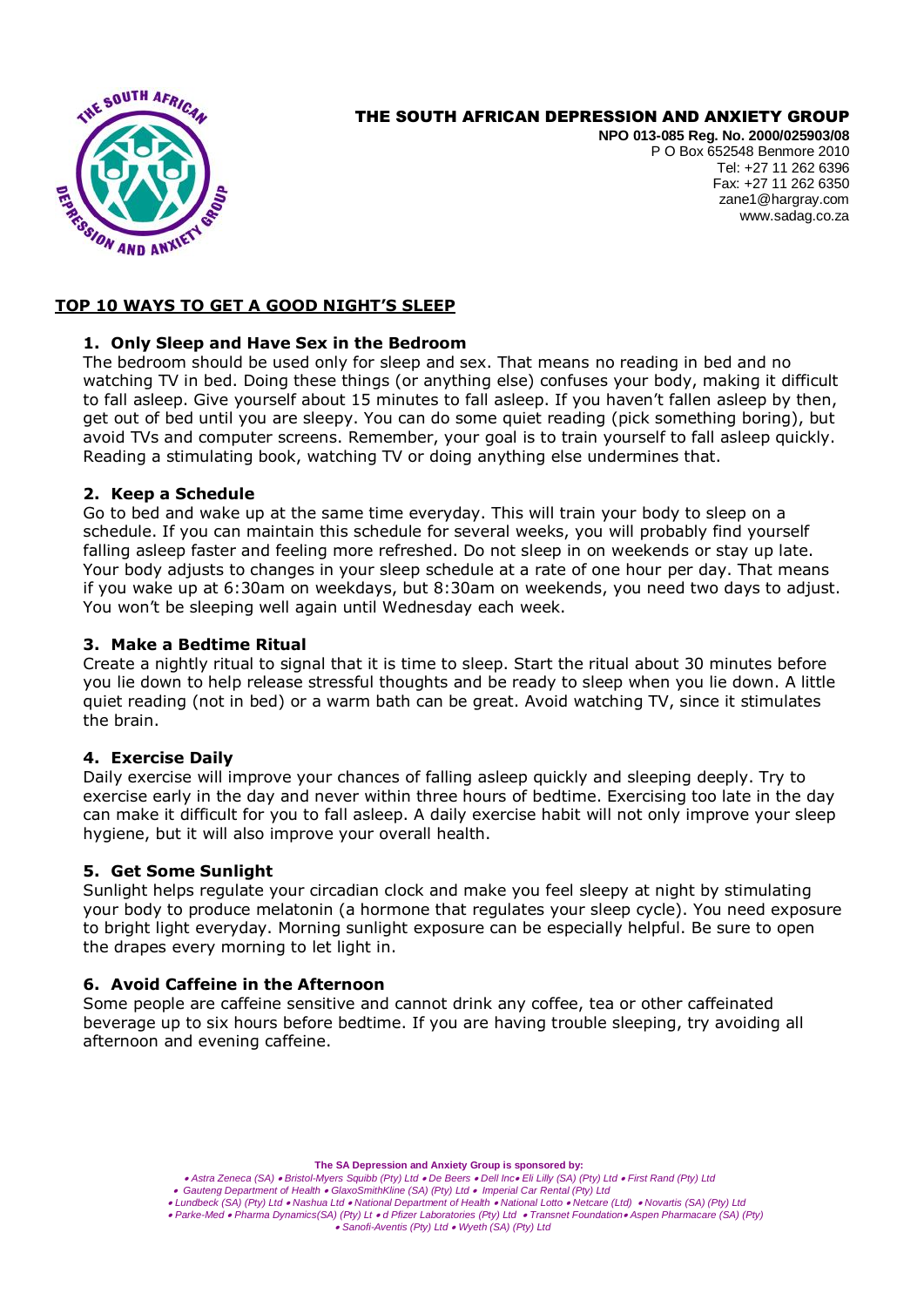

# THE SOUTH AFRICAN DEPRESSION AND ANXIETY GROUP

**NPO 013-085 Reg. No. 2000/025903/08** P O Box 652548 Benmore 2010 Tel: +27 11 262 6396 Fax: +27 11 262 6350 zane1@hargray.com [www.sadag.co.za](http://www.anxiety.org.za/)

# **TOP 10 WAYS TO GET A GOOD NIGHT'S SLEEP**

# **1. Only Sleep and Have Sex in the Bedroom**

The bedroom should be used only for sleep and sex. That means no reading in bed and no watching TV in bed. Doing these things (or anything else) confuses your body, making it difficult to fall asleep. Give yourself about 15 minutes to fall asleep. If you haven't fallen asleep by then, get out of bed until you are sleepy. You can do some quiet reading (pick something boring), but avoid TVs and computer screens. Remember, your goal is to train yourself to fall asleep quickly. Reading a stimulating book, watching TV or doing anything else undermines that.

## **2. Keep a Schedule**

Go to bed and wake up at the same time everyday. This will train your body to sleep on a schedule. If you can maintain this schedule for several weeks, you will probably find yourself falling asleep faster and feeling more refreshed. Do not sleep in on weekends or stay up late. Your body adjusts to changes in your sleep schedule at a rate of one hour per day. That means if you wake up at 6:30am on weekdays, but 8:30am on weekends, you need two days to adjust. You won't be sleeping well again until Wednesday each week.

#### **3. Make a Bedtime Ritual**

Create a nightly ritual to signal that it is time to sleep. Start the ritual about 30 minutes before you lie down to help release stressful thoughts and be ready to sleep when you lie down. A little quiet reading (not in bed) or a warm bath can be great. Avoid watching TV, since it stimulates the brain.

#### **4. Exercise Daily**

Daily exercise will improve your chances of falling asleep quickly and sleeping deeply. Try to exercise early in the day and never within three hours of bedtime. Exercising too late in the day can make it difficult for you to fall asleep. A daily exercise habit will not only improve your sleep hygiene, but it will also improve your overall health.

#### **5. Get Some Sunlight**

Sunlight helps regulate your circadian clock and make you feel sleepy at night by stimulating your body to produce melatonin (a hormone that regulates your sleep cycle). You need exposure to bright light everyday. Morning sunlight exposure can be especially helpful. Be sure to open the drapes every morning to let light in.

#### **6. Avoid Caffeine in the Afternoon**

Some people are caffeine sensitive and cannot drink any coffee, tea or other caffeinated beverage up to six hours before bedtime. If you are having trouble sleeping, try avoiding all afternoon and evening caffeine.

**The SA Depression and Anxiety Group is sponsored by:**

- *Astra Zeneca (SA) Bristol-Myers Squibb (Pty) Ltd De Beers Dell Inc Eli Lilly (SA) (Pty) Ltd First Rand (Pty) Ltd*
- *Gauteng Department of Health GlaxoSmithKline (SA) (Pty) Ltd Imperial Car Rental (Pty) Ltd*
- *Lundbeck (SA) (Pty) Ltd Nashua Ltd National Department of Health National Lotto Netcare (Ltd) Novartis (SA) (Pty) Ltd Parke-Med Pharma Dynamics(SA) (Pty) Lt d Pfizer Laboratories (Pty) Ltd Transnet Foundation Aspen Pharmacare (SA) (Pty)*

*Sanofi-Aventis (Pty) Ltd Wyeth (SA) (Pty) Ltd*